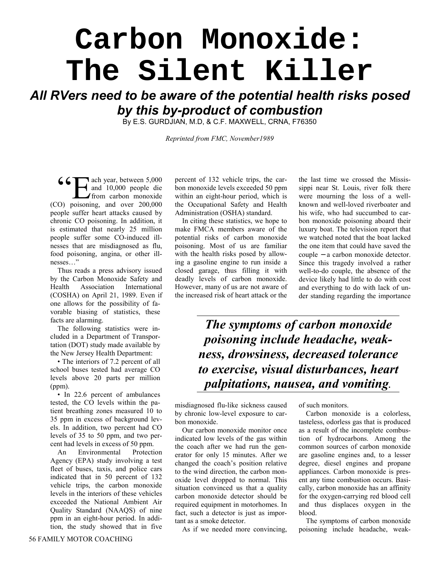## **Carbon Monoxide: The Silent Killer**

## *All RVers need to be aware of the potential health risks posed by this by-product of combustion*

By E.S. GURDJIAN, M.D, & C.F. MAXWELL, CRNA, F76350

*Reprinted from FMC, November1989*

ach year, between 5,000 and 10,000 people die 66 and 10,000 people die<br>
from carbon monoxide (CO) poisoning, and over 200,000 people suffer heart attacks caused by chronic CO poisoning. In addition, it is estimated that nearly 25 million people suffer some CO-induced illnesses that are misdiagnosed as flu, food poisoning, angina, or other illnesses…"

Thus reads a press advisory issued by the Carbon Monoxide Safety and Health Association International (COSHA) on April 21, 1989. Even if one allows for the possibility of favorable biasing of statistics, these facts are alarming.

The following statistics were included in a Department of Transportation (DOT) study made available by the New Jersey Health Department:

• The interiors of 7.2 percent of all school buses tested had average CO levels above 20 parts per million (ppm).

• In 22.6 percent of ambulances tested, the CO levels within the patient breathing zones measured 10 to 35 ppm in excess of background levels. In addition, two percent had CO levels of 35 to 50 ppm, and two percent had levels in excess of 50 ppm.

An Environmental Protection Agency (EPA) study involving a test fleet of buses, taxis, and police cars indicated that in 50 percent of 132 vehicle trips, the carbon monoxide levels in the interiors of these vehicles exceeded the National Ambient Air Quality Standard (NAAQS) of nine ppm in an eight-hour period. In addition, the study showed that in five

percent of 132 vehicle trips, the carbon monoxide levels exceeded 50 ppm within an eight-hour period, which is the Occupational Safety and Health Administration (OSHA) standard.

In citing these statistics, we hope to make FMCA members aware of the potential risks of carbon monoxide poisoning. Most of us are familiar with the health risks posed by allowing a gasoline engine to run inside a closed garage, thus filling it with deadly levels of carbon monoxide. However, many of us are not aware of the increased risk of heart attack or the the last time we crossed the Mississippi near St. Louis, river folk there were mourning the loss of a wellknown and well-loved riverboater and his wife, who had succumbed to carbon monoxide poisoning aboard their luxury boat. The television report that we watched noted that the boat lacked the one item that could have saved the couple − a carbon monoxide detector. Since this tragedy involved a rather well-to-do couple, the absence of the device likely had little to do with cost and everything to do with lack of under standing regarding the importance

*The symptoms of carbon monoxide poisoning include headache, weakness, drowsiness, decreased tolerance to exercise, visual disturbances, heart palpitations, nausea, and vomiting.*

misdiagnosed flu-like sickness caused by chronic low-level exposure to carbon monoxide.

Our carbon monoxide monitor once indicated low levels of the gas within the coach after we had run the generator for only 15 minutes. After we changed the coach's position relative to the wind direction, the carbon monoxide level dropped to normal. This situation convinced us that a quality carbon monoxide detector should be required equipment in motorhomes. In fact, such a detector is just as important as a smoke detector.

As if we needed more convincing,

of such monitors.

Carbon monoxide is a colorless, tasteless, odorless gas that is produced as a result of the incomplete combustion of hydrocarbons. Among the common sources of carbon monoxide are gasoline engines and, to a lesser degree, diesel engines and propane appliances. Carbon monoxide is present any time combustion occurs. Basically, carbon monoxide has an affinity for the oxygen-carrying red blood cell and thus displaces oxygen in the blood.

The symptoms of carbon monoxide poisoning include headache, weak-